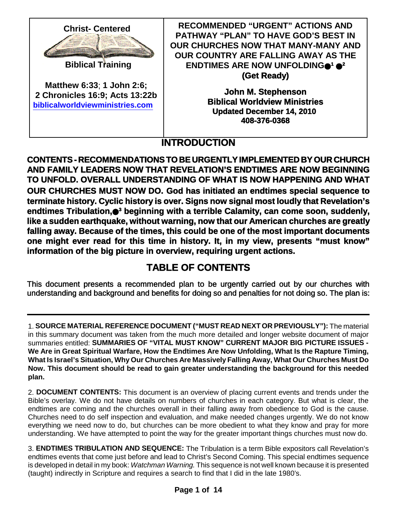

**Matthew 6:33**; **1 John 2:6; 2 Chronicles 16:9; Acts 13:22b biblicalworldviewministries.com**

**RECOMMENDED "URGENT" ACTIONS AND PATHWAY "PLAN" TO HAVE GOD'S BEST IN OUR CHURCHES NOW THAT MANY-MANY AND OUR COUNTRY ARE FALLING AWAY AS THE ENDTIMES ARE NOW UNFOLDING <sup>1</sup> 2 (Get Ready)**

> **John M. Stephenson Biblical Worldview Ministries Updated December 14, 2010 408-376-0368**

# **INTRODUCTION**

**CONTENTS - RECOMMENDATIONS TO BE URGENTLY IMPLEMENTED BY OUR CHURCH AND FAMILY LEADERS NOW THAT REVELATION'S ENDTIMES ARE NOW BEGINNING TO UNFOLD. OVERALL UNDERSTANDING OF WHAT IS NOW HAPPENING AND WHAT OUR CHURCHES MUST NOW DO. God has initiated an endtimes special sequence to terminate history. Cyclic history is over. Signs now signal most loudly that Revelation's endtimes Tribulation, <sup>3</sup> beginning with a terrible Calamity, can come soon, suddenly, like a sudden earthquake, without warning, now that our American churches are greatly falling away. Because of the times, this could be one of the most important documents one might ever read for this time in history. It, in my view, presents "must know" information of the big picture in overview, requiring urgent actions.**

# **TABLE OF CONTENTS**

This document presents a recommended plan to be urgently carried out by our churches with understanding and background and benefits for doing so and penalties for not doing so. The plan is:

1. **SOURCE MATERIAL REFERENCE DOCUMENT ("MUST READ NEXT OR PREVIOUSLY"):** The material in this summary document was taken from the much more detailed and longer website document of major summaries entitled: **SUMMARIES OF "VITAL MUST KNOW" CURRENT MAJOR BIG PICTURE ISSUES - We Are in Great Spiritual Warfare, How the Endtimes Are Now Unfolding, What Is the Rapture Timing, What Is Israel's Situation, Why Our Churches Are Massively Falling Away, What Our Churches Must Do Now. This document should be read to gain greater understanding the background for this needed plan.**

2. **DOCUMENT CONTENTS:** This document is an overview of placing current events and trends under the Bible's overlay. We do not have details on numbers of churches in each category. But what is clear, the endtimes are coming and the churches overall in their falling away from obedience to God is the cause. Churches need to do self inspection and evaluation, and make needed changes urgently. We do not know everything we need now to do, but churches can be more obedient to what they know and pray for more understanding. We have attempted to point the way for the greater important things churches must now do.

3. **ENDTIMES TRIBULATION AND SEQUENCE:** The Tribulation is a term Bible expositors call Revelation's endtimes events that come just before and lead to Christ's Second Coming. This special endtimes sequence is developed in detail in my book: *Watchman Warning.* This sequence is not well known because it is presented (taught) indirectly in Scripture and requires a search to find that I did in the late 1980's.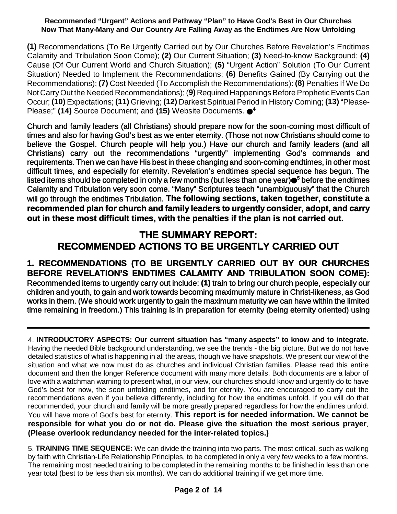**(1)** Recommendations (To Be Urgently Carried out by Our Churches Before Revelation's Endtimes Calamity and Tribulation Soon Come); **(2)** Our Current Situation; **(3)** Need-to-know Background; **(4)** Cause (Of Our Current World and Church Situation); **(5)** "Urgent Action" Solution (To Our Current Situation) Needed to Implement the Recommendations; **(6)** Benefits Gained (By Carrying out the Recommendations); **(7)** Cost Needed (To Accomplish the Recommendations): **(8)** Penalties If We Do Not Carry Out the Needed Recommendations); (9) Required Happenings Before Prophetic Events Can Occur; **(10)** Expectations; **(11)** Grieving; **(12)** Darkest Spiritual Period in History Coming; **(13)** "Please-Please;" **(14)** Source Document; and **(15)** Website Documents. **4**

Church and family leaders (all Christians) should prepare now for the soon-coming most difficult of times and also for having God's best as we enter eternity. (Those not now Christians should come to believe the Gospel. Church people will help you.) Have our church and family leaders (and all Christians) carry out the recommendations "urgently" implementing God's commands and requirements. Then we can have His best in these changing and soon-coming endtimes, in other most difficult times, and especially for eternity. Revelation's endtimes special sequence has begun. The listed items should be completed in only a few months (but less than one year) **<sup>5</sup>** before the endtimes Calamity and Tribulation very soon come. "Many" Scriptures teach "unambiguously" that the Church will go through the endtimes Tribulation. **The following sections, taken together, constitute a recommended plan for church and family leaders to urgently consider, adopt, and carry out in these most difficult times, with the penalties if the plan is not carried out.**

## **THE SUMMARY REPORT: RECOMMENDED ACTIONS TO BE URGENTLY CARRIED OUT**

### **1. RECOMMENDATIONS (TO BE URGENTLY CARRIED OUT BY OUR CHURCHES BEFORE REVELATION'S ENDTIMES CALAMITY AND TRIBULATION SOON COME):**

Recommended items to urgently carry out include: **(1)** train to bring our church people, especially our children and youth, to gain and work towards becoming maximumly mature in Christ-likeness, as God works in them. (We should work urgently to gain the maximum maturity we can have within the limited time remaining in freedom.) This training is in preparation for eternity (being eternity oriented) using

4. **INTRODUCTORY ASPECTS: Our current situation has "many aspects" to know and to integrate.** Having the needed Bible background understanding, we see the trends - the big picture. But we do not have detailed statistics of what is happening in all the areas, though we have snapshots. We present our view of the situation and what we now must do as churches and individual Christian families. Please read this entire document and then the longer Reference document with many more details. Both documents are a labor of love with a watchman warning to present what, in our view, our churches should know and urgently do to have God's best for now, the soon unfolding endtimes, and for eternity. You are encouraged to carry out the recommendations even if you believe differently, including for how the endtimes unfold. If you will do that recommended, your church and family will be more greatly prepared regardless for how the endtimes unfold. You will have more of God's best for eternity. **This report is for needed information. We cannot be responsible for what you do or not do. Please give the situation the most serious prayer**. **(Please overlook redundancy needed for the inter-related topics.)**

5. **TRAINING TIME SEQUENCE:** We can divide the training into two parts. The most critical, such as walking by faith with Christian-Life Relationship Principles, to be completed in only a very few weeks to a few months. The remaining most needed training to be completed in the remaining months to be finished in less than one year total (best to be less than six months). We can do additional training if we get more time.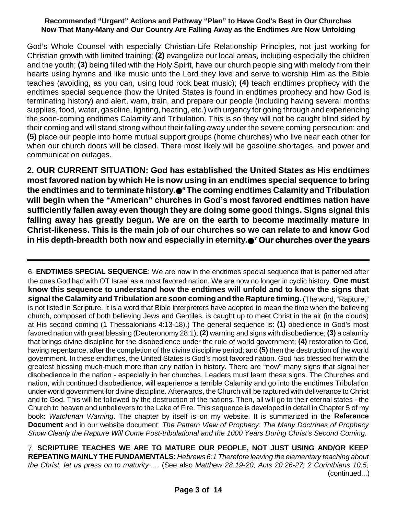God's Whole Counsel with especially Christian-Life Relationship Principles, not just working for Christian growth with limited training; **(2)** evangelize our local areas, including especially the children and the youth; **(3)** being filled with the Holy Spirit, have our church people sing with melody from their hearts using hymns and like music unto the Lord they love and serve to worship Him as the Bible teaches (avoiding, as you can, using loud rock beat music); **(4)** teach endtimes prophecy with the endtimes special sequence (how the United States is found in endtimes prophecy and how God is terminating history) and alert, warn, train, and prepare our people (including having several months supplies, food, water, gasoline, lighting, heating, etc.) with urgency for going through and experiencing the soon-coming endtimes Calamity and Tribulation. This is so they will not be caught blind sided by their coming and will stand strong without their falling away under the severe coming persecution; and **(5)** place our people into home mutual support groups (home churches) who live near each other for when our church doors will be closed. There most likely will be gasoline shortages, and power and communication outages.

**2. OUR CURRENT SITUATION: God has established the United States as His endtimes most favored nation by which He is now using in an endtimes special sequence to bring the endtimes and to terminate history. <sup>6</sup> The coming endtimes Calamity and Tribulation will begin when the "American" churches in God's most favored endtimes nation have sufficiently fallen away even though they are doing some good things. Signs signal this falling away has greatly begun. We are on the earth to become maximally mature in Christ-likeness. This is the main job of our churches so we can relate to and know God in His depth-breadth both now and especially in eternity. <sup>7</sup> Our churches over the years**

6. **ENDTIMES SPECIAL SEQUENCE**: We are now in the endtimes special sequence that is patterned after the ones God had with OT Israel as a most favored nation. We are now no longer in cyclic history. **One must know this sequence to understand how the endtimes will unfold and to know the signs that signal the Calamity and Tribulation are soon coming and the Rapture timing.** (The word, "Rapture," is not listed in Scripture. It is a word that Bible interpreters have adopted to mean the time when the believing church, composed of both believing Jews and Gentiles, is caught up to meet Christ in the air (in the clouds) at His second coming (1 Thessalonians 4:13-18).) The general sequence is: **(1)** obedience in God's most favored nation with great blessing (Deuteronomy 28:1); **(2)** warning and signs with disobedience; **(3)** a calamity that brings divine discipline for the disobedience under the rule of world government; **(4)** restoration to God, having repentance, after the completion of the divine discipline period; and **(5)** then the destruction of the world government. In these endtimes, the United States is God's most favored nation. God has blessed her with the greatest blessing much-much more than any nation in history. There are "now" many signs that signal her disobedience in the nation - especially in her churches. Leaders must learn these signs. The Churches and nation, with continued disobedience, will experience a terrible Calamity and go into the endtimes Tribulation under world government for divine discipline. Afterwards, the Church will be raptured with deliverance to Christ and to God. This will be followed by the destruction of the nations. Then, all will go to their eternal states - the Church to heaven and unbelievers to the Lake of Fire. This sequence is developed in detail in Chapter 5 of my book: *Watchman Warning*. The chapter by itself is on my website. It is summarized in the **Reference Document** and in our website document: *The Pattern View of Prophecy: The Many Doctrines of Prophecy Show Clearly the Rapture Will Come Post-tribulational and the 1000 Years During Christ's Second Coming.*

7. **SCRIPTURE TEACHES WE ARE TO MATURE OUR PEOPLE, NOT JUST USING AND/OR KEEP REPEATING MAINLY THE FUNDAMENTALS:** *Hebrews 6:1 Therefore leaving the elementary teaching about the Christ, let us press on to maturity ....* (See also *Matthew 28:19-20; Acts 20:26-27; 2 Corinthians 10:5;* (continued...)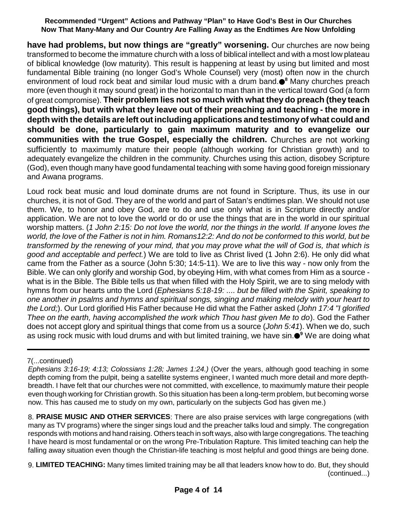**have had problems, but now things are "greatly" worsening.** Our churches are now being transformed to become the immature church with a loss of biblical intellect and with a most low plateau of biblical knowledge (low maturity). This result is happening at least by using but limited and most fundamental Bible training (no longer God's Whole Counsel) very (most) often now in the church environment of loud rock beat and similar loud music with a drum band. **<sup>8</sup>** Many churches preach more (even though it may sound great) in the horizontal to man than in the vertical toward God (a form of great compromise). **Their problem lies not so much with what they do preach (they teach good things), but with what they leave out of their preaching and teaching - the more in depth with the details are left outincluding applications and testimonyof what could and should be done, particularly to gain maximum maturity and to evangelize our communities with the true Gospel, especially the children.** Churches are not working sufficiently to maximumly mature their people (although working for Christian growth) and to adequately evangelize the children in the community. Churches using this action, disobey Scripture (God), even though many have good fundamental teaching with some having good foreign missionary and Awana programs.

Loud rock beat music and loud dominate drums are not found in Scripture. Thus, its use in our churches, it is not of God. They are of the world and part of Satan's endtimes plan. We should not use them. We, to honor and obey God, are to do and use only what is in Scripture directly and/or application. We are not to love the world or do or use the things that are in the world in our spiritual worship matters. (1 John 2:15: Do not love the world, nor the things in the world. If anyone loves the world, the love of the Father is not in him. Romans 12:2: And do not be conformed to this world, but be *transformed by the renewing of your mind, that you may prove what the will of God is, that which is good and acceptable and perfect.*) We are told to live as Christ lived (1 John 2:6). He only did what came from the Father as a source (John 5:30; 14:5-11). We are to live this way - now only from the Bible. We can only glorify and worship God, by obeying Him, with what comes from Him as a source what is in the Bible. The Bible tells us that when filled with the Holy Spirit, we are to sing melody with hymns from our hearts unto the Lord (*Ephesians 5:18-19: .... but be filled with the Spirit, speaking to one another in psalms and hymns and spiritual songs, singing and making melody with your heart to the Lord;*). Our Lord glorified His Father because He did what the Father asked (*John 17:4 "I glorified Thee on the earth, having accomplished the work which Thou hast given Me to do*). God the Father does not accept glory and spiritual things that come from us a source (*John 5:41*). When we do, such as using rock music with loud drums and with but limited training, we have sin. **<sup>9</sup>** We are doing what

8. **PRAISE MUSIC AND OTHER SERVICES**: There are also praise services with large congregations (with many as TV programs) where the singer sings loud and the preacher talks loud and simply. The congregation responds with motions and hand raising. Others teach in soft ways, also with large congregations. The teaching I have heard is most fundamental or on the wrong Pre-Tribulation Rapture. This limited teaching can help the falling away situation even though the Christian-life teaching is most helpful and good things are being done.

9. **LIMITED TEACHING:** Many times limited training may be all that leaders know how to do. But, they should (continued...)

<sup>7(...</sup>continued)

*Ephesians 3:16-19; 4:13; Colossians 1:28; James 1:24.)* (Over the years, although good teaching in some depth coming from the pulpit, being a satellite systems engineer, I wanted much more detail and more depthbreadth. I have felt that our churches were not committed, with excellence, to maximumly mature their people even though working for Christian growth. So this situation has been a long-term problem, but becoming worse now. This has caused me to study on my own, particularly on the subjects God has given me.)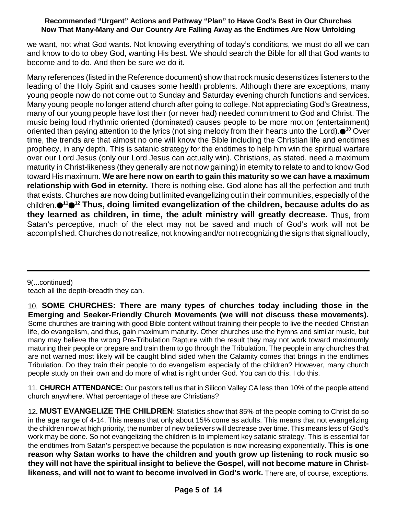we want, not what God wants. Not knowing everything of today's conditions, we must do all we can and know to do to obey God, wanting His best. We should search the Bible for all that God wants to become and to do. And then be sure we do it.

Many references (listed in the Reference document) show that rock music desensitizes listeners to the leading of the Holy Spirit and causes some health problems. Although there are exceptions, many young people now do not come out to Sunday and Saturday evening church functions and services. Many young people no longer attend church after going to college. Not appreciating God's Greatness, many of our young people have lost their (or never had) needed commitment to God and Christ. The music being loud rhythmic oriented (dominated) causes people to be more motion (entertainment) oriented than paying attention to the lyrics (not sing melody from their hearts unto the Lord).●<sup>10</sup> Over time, the trends are that almost no one will know the Bible including the Christian life and endtimes prophecy, in any depth. This is satanic strategy for the endtimes to help him win the spiritual warfare over our Lord Jesus (only our Lord Jesus can actually win). Christians, as stated, need a maximum maturity in Christ-likeness (they generally are not now gaining) in eternity to relate to and to know God toward His maximum. **We are here now on earth to gain this maturity so we can have a maximum relationship with God in eternity.** There is nothing else. God alone has all the perfection and truth that exists. Churches are now doing but limited evangelizing out in their communities, especially of the children. **<sup>11</sup> <sup>12</sup> Thus, doing limited evangelization of the children, because adults do as they learned as children, in time, the adult ministry will greatly decrease.** Thus, from Satan's perceptive, much of the elect may not be saved and much of God's work will not be accomplished. Churches do not realize, not knowing and/or not recognizing the signs that signal loudly,

9(...continued) teach all the depth-breadth they can.

10. **SOME CHURCHES: There are many types of churches today including those in the Emerging and Seeker-Friendly Church Movements (we will not discuss these movements).** Some churches are training with good Bible content without training their people to live the needed Christian life, do evangelism, and thus, gain maximum maturity. Other churches use the hymns and similar music, but many may believe the wrong Pre-Tribulation Rapture with the result they may not work toward maximumly maturing their people or prepare and train them to go through the Tribulation. The people in any churches that are not warned most likely will be caught blind sided when the Calamity comes that brings in the endtimes Tribulation. Do they train their people to do evangelism especially of the children? However, many church people study on their own and do more of what is right under God. You can do this. I do this.

11. **CHURCH ATTENDANCE:** Our pastors tell us that in Silicon Valley CA less than 10% of the people attend church anywhere. What percentage of these are Christians?

12**. MUST EVANGELIZE THE CHILDREN**: Statistics show that 85% of the people coming to Christ do so in the age range of 4-14. This means that only about 15% come as adults. This means that not evangelizing the children now at high priority, the number of new believers will decrease over time. This means less of God's work may be done. So not evangelizing the children is to implement key satanic strategy. This is essential for the endtimes from Satan's perspective because the population is now increasing exponentially. **This is one reason why Satan works to have the children and youth grow up listening to rock music so they will not have the spiritual insight to believe the Gospel, will not become mature in Christlikeness, and will not to want to become involved in God's work.** There are, of course, exceptions.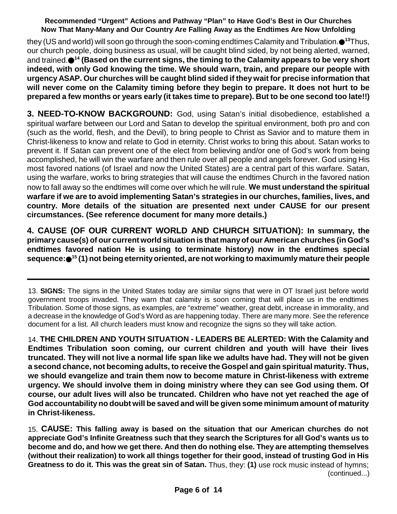they (US and world) will soon go through the soon-coming endtimes Calamity and Tribulation. **<sup>13</sup>**Thus, our church people, doing business as usual, will be caught blind sided, by not being alerted, warned, and trained. **<sup>14</sup> (Based on the current signs, the timing to the Calamity appears to be very short indeed, with only God knowing the time. We should warn, train, and prepare our people with urgency ASAP. Our churches will be caught blind sided if they wait for precise information that will never come on the Calamity timing before they begin to prepare. It does not hurt to be** prepared a few months or years early (it takes time to prepare). But to be one second too late!!)

**3. NEED-TO-KNOW BACKGROUND:** God, using Satan's initial disobedience, established a spiritual warfare between our Lord and Satan to develop the spiritual environment, both pro and con (such as the world, flesh, and the Devil), to bring people to Christ as Savior and to mature them in Christ-likeness to know and relate to God in eternity. Christ works to bring this about. Satan works to prevent it. If Satan can prevent one of the elect from believing and/or one of God's work from being accomplished, he will win the warfare and then rule over all people and angels forever. God using His most favored nations (of Israel and now the United States) are a central part of this warfare. Satan, using the warfare, works to bring strategies that will cause the endtimes Church in the favored nation now to fall away so the endtimes will come over which he will rule. **We must understand the spiritual warfare if we are to avoid implementing Satan's strategies in our churches, families, lives, and country. More details of the situation are presented next under CAUSE for our present circumstances. (See reference document for many more details.)**

**4. CAUSE (OF OUR CURRENT WORLD AND CHURCH SITUATION): In summary, the primary cause(s) of our current world situation is that manyof our American churches (in God's endtimes favored nation He is using to terminate history) now in the endtimes special sequence: <sup>15</sup> (1) not being eternityoriented, are not working to maximumly mature their people**

13. **SIGNS:** The signs in the United States today are similar signs that were in OT Israel just before world government troops invaded. They warn that calamity is soon coming that will place us in the endtimes Tribulation. Some of those signs, as examples, are "extreme" weather, great debt, increase in immorality, and a decrease in the knowledge of God's Word as are happening today. There are many more. See the reference document for a list. All church leaders must know and recognize the signs so they will take action.

14. **THE CHILDREN AND YOUTH SITUATION - LEADERS BE ALERTED: With the Calamity and Endtimes Tribulation soon coming, our current children and youth will have their lives** truncated. They will not live a normal life span like we adults have had. They will not be given **a second chance, not becoming adults, to receive the Gospel and gain spiritual maturity. Thus, we should evangelize and train them now to become mature in Christ-likeness with extreme urgency. We should involve them in doing ministry where they can see God using them. Of course, our adult lives will also be truncated. Children who have not yet reached the age of God accountability no doubt will be saved and will be given some minimum amount of maturity in Christ-likeness.**

15. **CAUSE: This falling away is based on the situation that our American churches do not appreciate God's Infinite Greatness such that they search the Scriptures for all God's wants us to become and do, and how we get there. And then do nothing else. They are attempting themselves (without their realization) to work all things together for their good, instead of trusting God in His Greatness to do it. This was the great sin of Satan.** Thus, they: **(1)** use rock music instead of hymns; (continued...)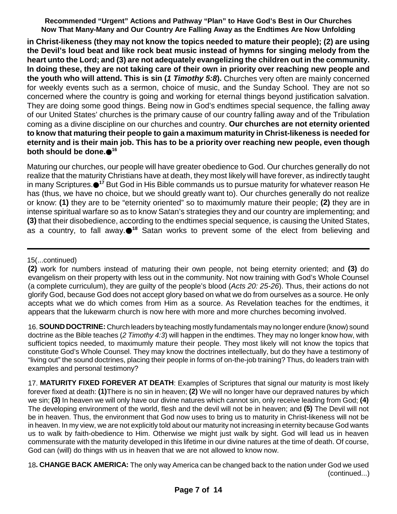**in Christ-likeness (they may not know the topics needed to mature their people); (2) are using the Devil's loud beat and like rock beat music instead of hymns for singing melody from the heart unto the Lord; and (3) are not adequately evangelizing the children out in the community. In doing these, they are not taking care of their own in priority over reaching new people and the youth who will attend. This is sin (***1 Timothy 5:8***).** Churches very often are mainly concerned for weekly events such as a sermon, choice of music, and the Sunday School. They are not so concerned where the country is going and working for eternal things beyond justification salvation. They are doing some good things. Being now in God's endtimes special sequence, the falling away of our United States' churches is the primary cause of our country falling away and of the Tribulation coming as a divine discipline on our churches and country. **Our churches are not eternity oriented to know that maturing their people to gain a maximum maturity in Christ-likeness is needed for eternity and is their main job. This has to be a priority over reaching new people, even though both should be done. 16**

Maturing our churches, our people will have greater obedience to God. Our churches generally do not realize that the maturity Christians have at death, they most likely will have forever, as indirectly taught in many Scriptures.●<sup>17</sup> But God in His Bible commands us to pursue maturity for whatever reason He has (thus, we have no choice, but we should greatly want to). Our churches generally do not realize or know: **(1)** they are to be "eternity oriented" so to maximumly mature their people; **(2)** they are in intense spiritual warfare so as to know Satan's strategies they and our country are implementing; and **(3)** that their disobedience, according to the endtimes special sequence, is causing the United States, as a country, to fall away. **<sup>18</sup>** Satan works to prevent some of the elect from believing and

16.**SOUND DOCTRINE:** Church leaders by teaching mostly fundamentals may no longer endure (know) sound doctrine as the Bible teaches (*2 Timothy 4:3*) will happen in the endtimes. They may no longer know how, with sufficient topics needed, to maximumly mature their people. They most likely will not know the topics that constitute God's Whole Counsel. They may know the doctrines intellectually, but do they have a testimony of "living out" the sound doctrines, placing their people in forms of on-the-job training? Thus, do leaders train with examples and personal testimony?

17. **MATURITY FIXED FOREVER AT DEATH**: Examples of Scriptures that signal our maturity is most likely forever fixed at death: **(1)**There is no sin in heaven; **(2)** We will no longer have our depraved natures by which we sin; **(3)** In heaven we will only have our divine natures which cannot sin, only receive leading from God; **(4)** The developing environment of the world, flesh and the devil will not be in heaven; and **(5)** The Devil will not be in heaven. Thus, the environment that God now uses to bring us to maturity in Christ-likeness will not be in heaven. In my view, we are not explicitly told about our maturity not increasing in eternity because God wants us to walk by faith-obedience to Him. Otherwise we might just walk by sight. God will lead us in heaven commensurate with the maturity developed in this lifetime in our divine natures at the time of death. Of course, God can (will) do things with us in heaven that we are not allowed to know now.

18**. CHANGE BACK AMERICA:** The only way America can be changed back to the nation under God we used (continued...)

<sup>15(...</sup>continued)

**<sup>(2)</sup>** work for numbers instead of maturing their own people, not being eternity oriented; and **(3)** do evangelism on their property with less out in the community. Not now training with God's Whole Counsel (a complete curriculum), they are guilty of the people's blood (*Acts 20: 25-26*). Thus, their actions do not glorify God, because God does not accept glory based on what we do from ourselves as a source. He only accepts what we do which comes from Him as a source. As Revelation teaches for the endtimes, it appears that the lukewarm church is now here with more and more churches becoming involved.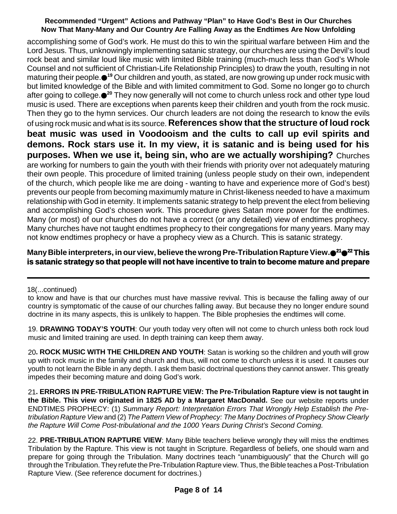accomplishing some of God's work. He must do this to win the spiritual warfare between Him and the Lord Jesus. Thus, unknowingly implementing satanic strategy, our churches are using the Devil's loud rock beat and similar loud like music with limited Bible training (much-much less than God's Whole Counsel and not sufficient of Christian-Life Relationship Principles) to draw the youth, resulting in not maturing their people.●<sup>19</sup> Our children and youth, as stated, are now growing up under rock music with but limited knowledge of the Bible and with limited commitment to God. Some no longer go to church after going to college.●<sup>20</sup> They now generally will not come to church unless rock and other type loud music is used. There are exceptions when parents keep their children and youth from the rock music. Then they go to the hymn services. Our church leaders are not doing the research to know the evils of using rock music and what is its source. **References show that the structure of loud rock beat music was used in Voodooism and the cults to call up evil spirits and demons. Rock stars use it. In my view, it is satanic and is being used for his purposes. When we use it, being sin, who are we actually worshiping?** Churches are working for numbers to gain the youth with their friends with priority over not adequately maturing their own people. This procedure of limited training (unless people study on their own, independent of the church, which people like me are doing - wanting to have and experience more of God's best) prevents our people from becoming maximumly mature in Christ-likeness needed to have a maximum relationship with God in eternity. It implements satanic strategy to help prevent the elect from believing and accomplishing God's chosen work. This procedure gives Satan more power for the endtimes. Many (or most) of our churches do not have a correct (or any detailed) view of endtimes prophecy. Many churches have not taught endtimes prophecy to their congregations for many years. Many may not know endtimes prophecy or have a prophecy view as a Church. This is satanic strategy.

#### **ManyBible interpreters, in our view, believe the wrongPre-Tribulation RaptureView. <sup>21</sup> <sup>22</sup> This is satanic strategy so that people will not have incentive to train to become mature and prepare**

#### 18(...continued)

to know and have is that our churches must have massive revival. This is because the falling away of our country is symptomatic of the cause of our churches falling away. But because they no longer endure sound doctrine in its many aspects, this is unlikely to happen. The Bible prophesies the endtimes will come.

19. **DRAWING TODAY'S YOUTH**: Our youth today very often will not come to church unless both rock loud music and limited training are used. In depth training can keep them away.

20**. ROCK MUSIC WITH THE CHILDREN AND YOUTH**: Satan is working so the children and youth will grow up with rock music in the family and church and thus, will not come to church unless it is used. It causes our youth to not learn the Bible in any depth. I ask them basic doctrinal questions they cannot answer. This greatly impedes their becoming mature and doing God's work.

21**. ERRORS IN PRE-TRIBULATION RAPTURE VIEW: The Pre-Tribulation Rapture view is not taught in the Bible. This view originated in 1825 AD by a Margaret MacDonald.** See our website reports under ENDTIMES PROPHECY: (1) *Summary Report: Interpretation Errors That Wrongly Help Establish the Pretribulation Rapture View* and (2) *The Pattern View of Prophecy: The Many Doctrines of Prophecy Show Clearly the Rapture Will Come Post-tribulational and the 1000 Years During Christ's Second Coming.*

22. **PRE-TRIBULATION RAPTURE VIEW**: Many Bible teachers believe wrongly they will miss the endtimes Tribulation by the Rapture. This view is not taught in Scripture. Regardless of beliefs, one should warn and prepare for going through the Tribulation. Many doctrines teach "unambiguously" that the Church will go through the Tribulation. They refute the Pre-Tribulation Rapture view. Thus, the Bible teaches a Post-Tribulation Rapture View. (See reference document for doctrines.)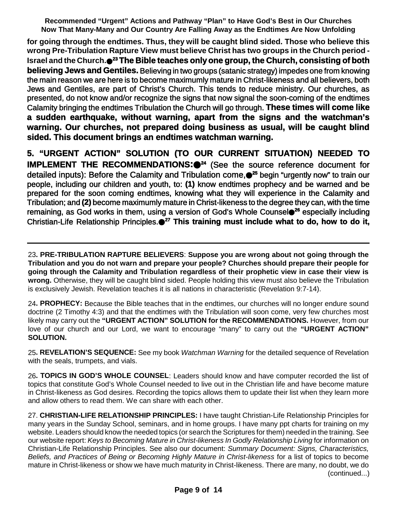**for going through the endtimes. Thus, they will be caught blind sided. Those who believe this wrong Pre-Tribulation Rapture View must believe Christ has two groups in the Church period - Israel and the Church. <sup>23</sup> The Bible teaches only one group, the Church, consisting of both believing Jews and Gentiles.** Believing in two groups (satanic strategy) impedes one from knowing the main reason we are here is to become maximumly mature in Christ-likeness and all believers, both Jews and Gentiles, are part of Christ's Church. This tends to reduce ministry. Our churches, as presented, do not know and/or recognize the signs that now signal the soon-coming of the endtimes Calamity bringing the endtimes Tribulation the Church will go through. **These times will come like a sudden earthquake, without warning, apart from the signs and the watchman's warning. Our churches, not prepared doing business as usual, will be caught blind sided. This document brings an endtimes watchman warning.**

**5. "URGENT ACTION" SOLUTION (TO OUR CURRENT SITUATION) NEEDED TO IMPLEMENT THE RECOMMENDATIONS:<sup>24</sup>** (See the source reference document for detailed inputs): Before the Calamity and Tribulation come, **<sup>25</sup>** begin "urgently now" to train our people, including our children and youth, to: **(1)** know endtimes prophecy and be warned and be prepared for the soon coming endtimes, knowing what they will experience in the Calamity and Tribulation; and **(2)** become maximumly mature in Christ-likeness to the degree they can, with the time remaining, as God works in them, using a version of God's Whole Counsel **<sup>26</sup>** especially including Christian-Life Relationship Principles. **<sup>27</sup> This training must include what to do, how to do it,**

23**. PRE-TRIBULATION RAPTURE BELIEVERS**: **Suppose you are wrong about not going through the Tribulation and you do not warn and prepare your people? Churches should prepare their people for going through the Calamity and Tribulation regardless of their prophetic view in case their view is wrong.** Otherwise, they will be caught blind sided. People holding this view must also believe the Tribulation is exclusively Jewish. Revelation teaches it is all nations in characteristic (Revelation 9:7-14).

24**. PROPHECY:** Because the Bible teaches that in the endtimes, our churches will no longer endure sound doctrine (2 Timothy 4:3) and that the endtimes with the Tribulation will soon come, very few churches most likely may carry out the **"URGENT ACTION" SOLUTION for the RECOMMENDATIONS.** However, from our love of our church and our Lord, we want to encourage "many" to carry out the **"URGENT ACTION" SOLUTION.**

25**. REVELATION'S SEQUENCE:** See my book *Watchman Warning* for the detailed sequence of Revelation with the seals, trumpets, and vials.

26**. TOPICS IN GOD'S WHOLE COUNSEL**: Leaders should know and have computer recorded the list of topics that constitute God's Whole Counsel needed to live out in the Christian life and have become mature in Christ-likeness as God desires. Recording the topics allows them to update their list when they learn more and allow others to read them. We can share with each other.

27. **CHRISTIAN-LIFE RELATIONSHIP PRINCIPLES:** I have taught Christian-Life Relationship Principles for many years in the Sunday School, seminars, and in home groups. I have many ppt charts for training on my website. Leaders should know the needed topics (or search the Scriptures for them) needed in the training. See our website report: *Keys to Becoming Mature in Christ-likeness In Godly Relationship Living* for information on Christian-Life Relationship Principles. See also our document: *Summary Document: Signs, Characteristics, Beliefs, and Practices of Being or Becoming Highly Mature in Christ-likeness* for a list of topics to become mature in Christ-likeness or show we have much maturity in Christ-likeness. There are many, no doubt, we do (continued...)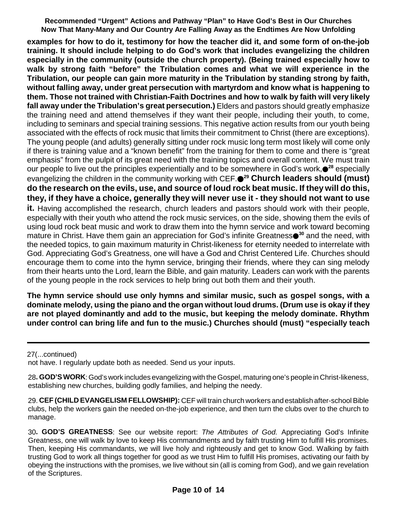**examples for how to do it, testimony for how the teacher did it, and some form of on-the-job training. It should include helping to do God's work that includes evangelizing the children especially in the community (outside the church property). (Being trained especially how to walk by strong faith "before" the Tribulation comes and what we will experience in the Tribulation, our people can gain more maturity in the Tribulation by standing strong by faith, without falling away, under great persecution with martyrdom and know what is happening to them. Those not trained with Christian-Faith Doctrines and how to walk by faith will very likely fall away under the Tribulation's great persecution.)** Elders and pastors should greatly emphasize the training need and attend themselves if they want their people, including their youth, to come, including to seminars and special training sessions. This negative action results from our youth being associated with the effects of rock music that limits their commitment to Christ (there are exceptions). The young people (and adults) generally sitting under rock music long term most likely will come only if there is training value and a "known benefit" from the training for them to come and there is "great emphasis" from the pulpit of its great need with the training topics and overall content. We must train our people to live out the principles experientially and to be somewhere in God's work, **<sup>28</sup>** especially evangelizing the children in the community working with CEF. **<sup>29</sup> Church leaders should (must)** do the research on the evils, use, and source of loud rock beat music. If they will do this, **they, if they have a choice, generally they will never use it - they should not want to use it.** Having accomplished the research, church leaders and pastors should work with their people, especially with their youth who attend the rock music services, on the side, showing them the evils of using loud rock beat music and work to draw them into the hymn service and work toward becoming mature in Christ. Have them gain an appreciation for God's infinite Greatness●<sup>30</sup> and the need, with the needed topics, to gain maximum maturity in Christ-likeness for eternity needed to interrelate with God. Appreciating God's Greatness, one will have a God and Christ Centered Life. Churches should encourage them to come into the hymn service, bringing their friends, where they can sing melody from their hearts unto the Lord, learn the Bible, and gain maturity. Leaders can work with the parents of the young people in the rock services to help bring out both them and their youth.

**The hymn service should use only hymns and similar music, such as gospel songs, with a dominate melody, using the piano and the organ without loud drums. (Drum use is okay if they are not played dominantly and add to the music, but keeping the melody dominate. Rhythm under control can bring life and fun to the music.) Churches should (must) "especially teach**

27(...continued)

not have. I regularly update both as needed. Send us your inputs.

28**. GOD'S WORK**: God's work includes evangelizing with the Gospel, maturing one's people in Christ-likeness, establishing new churches, building godly families, and helping the needy.

29. **CEF (CHILD EVANGELISM FELLOWSHIP):** CEF will train church workers and establish after-school Bible clubs, help the workers gain the needed on-the-job experience, and then turn the clubs over to the church to manage.

30**. GOD'S GREATNESS**: See our website report: *The Attributes of God.* Appreciating God's Infinite Greatness, one will walk by love to keep His commandments and by faith trusting Him to fulfill His promises. Then, keeping His commandants, we will live holy and righteously and get to know God. Walking by faith trusting God to work all things together for good as we trust Him to fulfill His promises, activating our faith by obeying the instructions with the promises, we live without sin (all is coming from God), and we gain revelation of the Scriptures.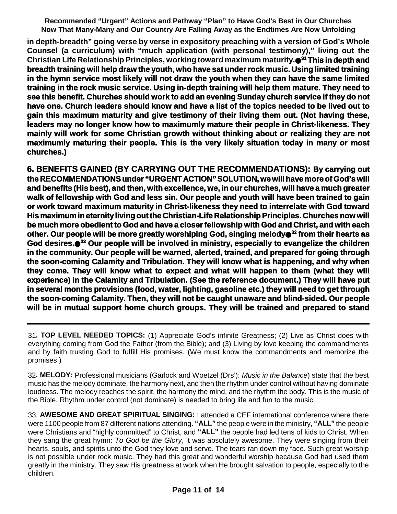**in depth-breadth" going verse by verse in expository preaching with a version of God's Whole Counsel (a curriculum) with "much application (with personal testimony)," living out the Christian Life Relationship Principles, working toward maximum maturity. <sup>31</sup> This in depth and breadth training will help draw the youth, who have sat underrock music. Using limited training in the hymn service most likely will not draw the youth when they can have the same limited training in the rock music service. Using in-depth training will help them mature. They need to see this benefit. Churches should work to add an evening Sunday church service if they do not have one. Church leaders should know and have a list of the topics needed to be lived out to gain this maximum maturity and give testimony of their living them out. (Not having these, leaders may no longer know how to maximumly mature their people in Christ-likeness. They mainly will work for some Christian growth without thinking about or realizing they are not maximumly maturing their people. This is the very likely situation today in many or most churches.)**

**6. BENEFITS GAINED (BY CARRYING OUT THE RECOMMENDATIONS): By carrying out the RECOMMENDATIONSunder "URGENT ACTION" SOLUTION, we will have more of God's will and benefits (His best), and then, with excellence, we, in our churches, will have a much greater walk of fellowship with God and less sin. Our people and youth will have been trained to gain or work toward maximum maturity in Christ-likeness they need to interrelate with God toward His maximum in eternity living out the Christian-Life Relationship Principles. Churches now will be much more obedient to God and have a closerfellowship with God and Christ, and with each other. Our people will be more greatly worshiping God, singing melody <sup>32</sup> from their hearts as God desires. <sup>33</sup> Our people will be involved in ministry, especially to evangelize the children in the community. Our people will be warned, alerted, trained, and prepared for going through the soon-coming Calamity and Tribulation. They will know what is happening, and why when they come. They will know what to expect and what will happen to them (what they will experience) in the Calamity and Tribulation. (See the reference document.) They will have put in several months provisions (food, water, lighting, gasoline etc.) they will need to get through the soon-coming Calamity. Then, they will not be caught unaware and blind-sided. Our people will be in mutual support home church groups. They will be trained and prepared to stand**

31**. TOP LEVEL NEEDED TOPICS:** (1) Appreciate God's infinite Greatness; (2) Live as Christ does with everything coming from God the Father (from the Bible); and (3) Living by love keeping the commandments and by faith trusting God to fulfill His promises. (We must know the commandments and memorize the promises.)

32**. MELODY:** Professional musicians (Garlock and Woetzel (Drs'): *Music in the Balance*) state that the best music has the melody dominate, the harmony next, and then the rhythm under control without having dominate loudness. The melody reaches the spirit, the harmony the mind, and the rhythm the body. This is the music of the Bible. Rhythm under control (not dominate) is needed to bring life and fun to the music.

33. **AWESOME AND GREAT SPIRITUAL SINGING:** I attended a CEF international conference where there were 1100 people from 87 different nations attending. **"ALL"** the people were in the ministry, **"ALL"** the people were Christians and "highly committed" to Christ, and **"ALL"** the people had led tens of kids to Christ. When they sang the great hymn: *To God be the Glory*, it was absolutely awesome. They were singing from their hearts, souls, and spirits unto the God they love and serve. The tears ran down my face. Such great worship is not possible under rock music. They had this great and wonderful worship because God had used them greatly in the ministry. They saw His greatness at work when He brought salvation to people, especially to the children.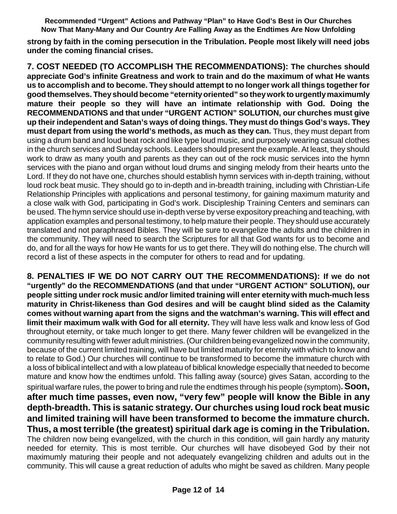**strong by faith in the coming persecution in the Tribulation. People most likely will need jobs under the coming financial crises.**

**7. COST NEEDED (TO ACCOMPLISH THE RECOMMENDATIONS): The churches should appreciate God's infinite Greatness and work to train and do the maximum of what He wants us to accomplish and to become. They should attempt to no longer work all things together for good themselves. They should become "eternityoriented" so theywork to urgentlymaximumly mature their people so they will have an intimate relationship with God. Doing the RECOMMENDATIONS and that under "URGENT ACTION" SOLUTION, our churches must give up their independent and Satan's ways of doing things. They must do things God's ways. They must depart from using the world's methods, as much as they can.** Thus, they must depart from using a drum band and loud beat rock and like type loud music, and purposely wearing casual clothes in the church services and Sunday schools. Leaders should present the example. At least, they should work to draw as many youth and parents as they can out of the rock music services into the hymn services with the piano and organ without loud drums and singing melody from their hearts unto the Lord. If they do not have one, churches should establish hymn services with in-depth training, without loud rock beat music. They should go to in-depth and in-breadth training, including with Christian-Life Relationship Principles with applications and personal testimony, for gaining maximum maturity and a close walk with God, participating in God's work. Discipleship Training Centers and seminars can be used. The hymn service should use in-depth verse by verse expository preaching and teaching, with application examples and personal testimony, to help mature their people. They should use accurately translated and not paraphrased Bibles. They will be sure to evangelize the adults and the children in the community. They will need to search the Scriptures for all that God wants for us to become and do, and for all the ways for how He wants for us to get there. They will do nothing else. The church will record a list of these aspects in the computer for others to read and for updating.

**8. PENALTIES IF WE DO NOT CARRY OUT THE RECOMMENDATIONS): If we do not "urgently" do the RECOMMENDATIONS (and that under "URGENT ACTION" SOLUTION), our people sitting under rock music and/or limited training will enter eternity with much-much less maturity in Christ-likeness than God desires and will be caught blind sided as the Calamity comes without warning apart from the signs and the watchman's warning. This will effect and limit their maximum walk with God for all eternity.** They will have less walk and know less of God throughout eternity, or take much longer to get there. Many fewer children will be evangelized in the community resulting with fewer adult ministries.(Our children being evangelized now in the community, because of the current limited training, will have but limited maturity for eternity with which to know and to relate to God.) Our churches will continue to be transformed to become the immature church with a loss of biblical intellect and with a low plateau of biblical knowledge especially that needed to become mature and know how the endtimes unfold. This falling away (source) gives Satan, according to the spiritual warfare rules, the power to bring and rule the endtimes through his people (symptom)**.Soon, after much time passes, even now, "very few" people will know the Bible in any depth-breadth. This is satanic strategy. Our churches using loud rock beat music and limited training will have been transformed to become the immature church. Thus, a most terrible (the greatest) spiritual dark age is coming in the Tribulation.** The children now being evangelized, with the church in this condition, will gain hardly any maturity needed for eternity. This is most terrible. Our churches will have disobeyed God by their not maximumly maturing their people and not adequately evangelizing children and adults out in the community. This will cause a great reduction of adults who might be saved as children. Many people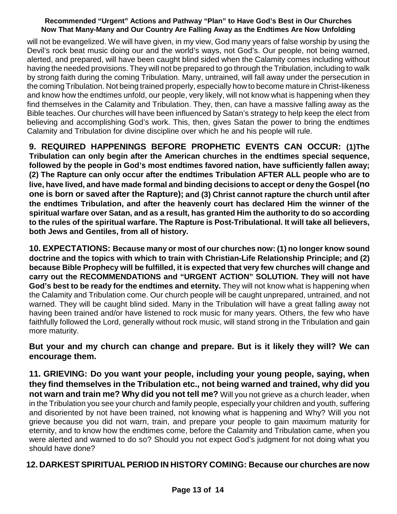will not be evangelized. We will have given, in my view, God many years of false worship by using the Devil's rock beat music doing our and the world's ways, not God's. Our people, not being warned, alerted, and prepared, will have been caught blind sided when the Calamity comes including without having the needed provisions. They will not be prepared to go through the Tribulation, including to walk by strong faith during the coming Tribulation. Many, untrained, will fall away under the persecution in the coming Tribulation. Not being trained properly, especially how to become mature in Christ-likeness and know how the endtimes unfold, our people, very likely, will not know what is happening when they find themselves in the Calamity and Tribulation. They, then, can have a massive falling away as the Bible teaches. Our churches will have been influenced by Satan's strategy to help keep the elect from believing and accomplishing God's work. This, then, gives Satan the power to bring the endtimes Calamity and Tribulation for divine discipline over which he and his people will rule.

**9. REQUIRED HAPPENINGS BEFORE PROPHETIC EVENTS CAN OCCUR: (1)The Tribulation can only begin after the American churches in the endtimes special sequence, followed by the people in God's most endtimes favored nation, have sufficiently fallen away; (2) The Rapture can only occur after the endtimes Tribulation AFTER ALL people who are to live, have lived, and have made formal and binding decisions to accept or deny the Gospel (no one is born or saved after the Rapture); and (3) Christ cannot rapture the church until after the endtimes Tribulation, and after the heavenly court has declared Him the winner of the spiritual warfare over Satan, and as a result, has granted Him the authority to do so according to the rules of the spiritual warfare. The Rapture is Post-Tribulational. It will take all believers, both Jews and Gentiles, from all of history.**

**10. EXPECTATIONS: Because many or most of our churches now: (1) no longer know sound doctrine and the topics with which to train with Christian-Life Relationship Principle; and (2) because Bible Prophecy will be fulfilled, it is expected that very few churches will change and carry out the RECOMMENDATIONS and "URGENT ACTION" SOLUTION. They will not have God's best to be ready for the endtimes and eternity.** They will not know what is happening when the Calamity and Tribulation come. Our church people will be caught unprepared, untrained, and not warned. They will be caught blind sided. Many in the Tribulation will have a great falling away not having been trained and/or have listened to rock music for many years. Others, the few who have faithfully followed the Lord, generally without rock music, will stand strong in the Tribulation and gain more maturity.

**But your and my church can change and prepare. But is it likely they will? We can encourage them.**

**11. GRIEVING: Do you want your people, including your young people, saying, when they find themselves in the Tribulation etc., not being warned and trained, why did you not warn and train me? Why did you not tell me?** Will you not grieve as a church leader, when in the Tribulation you see your church and family people, especially your children and youth, suffering and disoriented by not have been trained, not knowing what is happening and Why? Will you not grieve because you did not warn, train, and prepare your people to gain maximum maturity for eternity, and to know how the endtimes come, before the Calamity and Tribulation came, when you were alerted and warned to do so? Should you not expect God's judgment for not doing what you should have done?

### **12. DARKEST SPIRITUAL PERIOD IN HISTORY COMING: Because our churches are now**